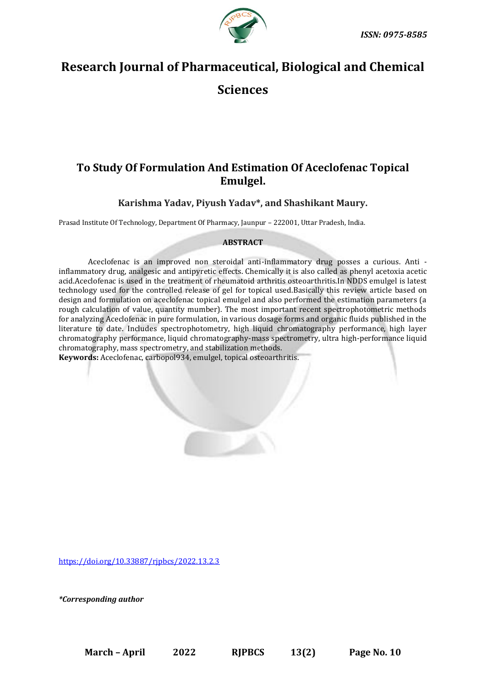

# **Research Journal of Pharmaceutical, Biological and Chemical**

**Sciences**

## **To Study Of Formulation And Estimation Of Aceclofenac Topical Emulgel.**

### **Karishma Yadav, Piyush Yadav\*, and Shashikant Maury.**

Prasad Institute Of Technology, Department Of Pharmacy, Jaunpur – 222001, Uttar Pradesh, India.

#### **ABSTRACT**

Aceclofenac is an improved non steroidal anti-inflammatory drug posses a curious. Anti inflammatory drug, analgesic and antipyretic effects. Chemically it is also called as phenyl acetoxia acetic acid.Aceclofenac is used in the treatment of rheumatoid arthritis osteoarthritis.In NDDS emulgel is latest technology used for the controlled release of gel for topical used.Basically this review article based on design and formulation on aceclofenac topical emulgel and also performed the estimation parameters (a rough calculation of value, quantity mumber). The most important recent spectrophotometric methods for analyzing Aceclofenac in pure formulation, in various dosage forms and organic fluids published in the literature to date. Includes spectrophotometry, high liquid chromatography performance, high layer chromatography performance, liquid chromatography-mass spectrometry, ultra high-performance liquid chromatography, mass spectrometry, and stabilization methods.

**Keywords:** Aceclofenac, carbopol934, emulgel, topical osteoarthritis.

[https://doi.org/10.33887/rjpbcs/2022.13.2.3](https://doi.org/10.33887/rjpbcs/2022.13.1.1)

*\*Corresponding author*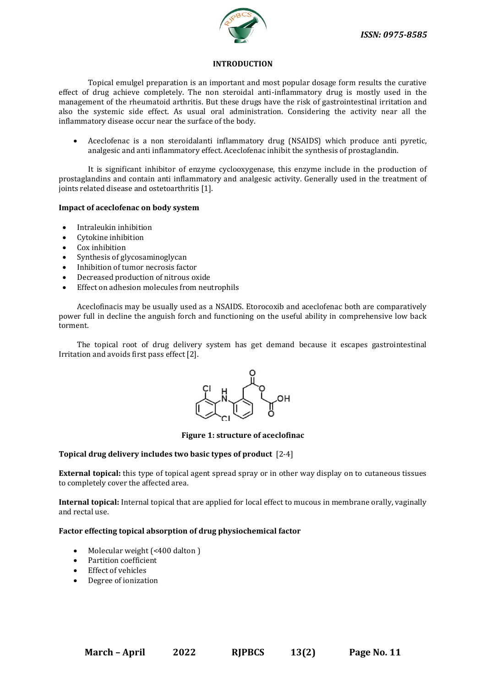

#### **INTRODUCTION**

Topical emulgel preparation is an important and most popular dosage form results the curative effect of drug achieve completely. The non steroidal anti-inflammatory drug is mostly used in the management of the rheumatoid arthritis. But these drugs have the risk of gastrointestinal irritation and also the systemic side effect. As usual oral administration. Considering the activity near all the inflammatory disease occur near the surface of the body.

• Aceclofenac is a non steroidalanti inflammatory drug (NSAIDS) which produce anti pyretic, analgesic and anti inflammatory effect. Aceclofenac inhibit the synthesis of prostaglandin.

It is significant inhibitor of enzyme cyclooxygenase, this enzyme include in the production of prostaglandins and contain anti inflammatory and analgesic activity. Generally used in the treatment of joints related disease and ostetoarthritis [1].

#### **Impact of aceclofenac on body system**

- Intraleukin inhibition
- Cytokine inhibition
- Cox inhibition
- Synthesis of glycosaminoglycan
- Inhibition of tumor necrosis factor
- Decreased production of nitrous oxide
- Effect on adhesion molecules from neutrophils

Aceclofinacis may be usually used as a NSAIDS. Etorocoxib and aceclofenac both are comparatively power full in decline the anguish forch and functioning on the useful ability in comprehensive low back torment.

The topical root of drug delivery system has get demand because it escapes gastrointestinal Irritation and avoids first pass effect [2].



**Figure 1: structure of aceclofinac**

#### **Topical drug delivery includes two basic types of product** [2-4]

**External topical:** this type of topical agent spread spray or in other way display on to cutaneous tissues to completely cover the affected area.

**Internal topical:** Internal topical that are applied for local effect to mucous in membrane orally, vaginally and rectal use.

#### **Factor effecting topical absorption of drug physiochemical factor**

- Molecular weight (<400 dalton)
- Partition coefficient
- Effect of vehicles
- Degree of ionization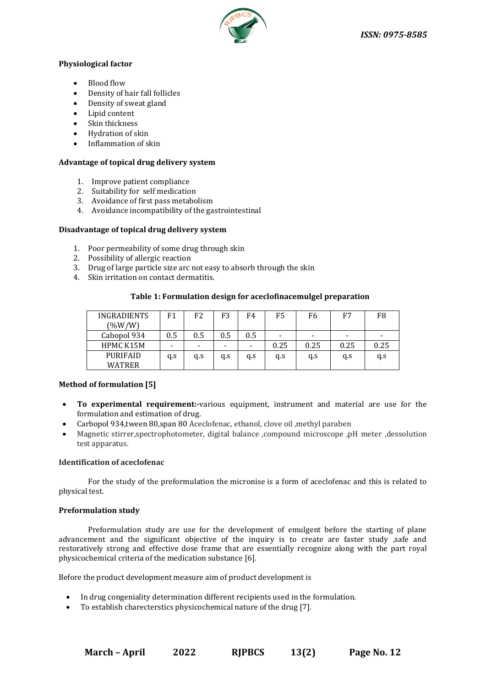

#### **Physiological factor**

- Blood flow
- Density of hair fall follicles
- Density of sweat gland
- Lipid content
- Skin thickness
- Hydration of skin
- Inflammation of skin

#### **Advantage of topical drug delivery system**

- 1. Improve patient compliance
- 2. Suitability for self medication
- 3. Avoidance of first pass metabolism
- 4. Avoidance incompatibility of the gastrointestinal

#### **Disadvantage of topical drug delivery system**

- 1. Poor permeability of some drug through skin
- 2. Possibility of allergic reaction
- 3. Drug of large particle size arc not easy to absorb through the skin
- 4. Skin irritation on contact dermatitis.

#### **Table 1: Formulation design for aceclofinacemulgel preparation**

| <b>INGRADIENTS</b> | F1                       | F2  | F3                       | F4                       | F5                       | F6                       | F7                       | F8   |
|--------------------|--------------------------|-----|--------------------------|--------------------------|--------------------------|--------------------------|--------------------------|------|
| $(\%W/W)$          |                          |     |                          |                          |                          |                          |                          |      |
| Cabopol 934        | 0.5                      | 0.5 | 0.5                      | 0.5                      | $\overline{\phantom{a}}$ | $\overline{\phantom{0}}$ | $\overline{\phantom{a}}$ | -    |
| HPMC K15M          | $\overline{\phantom{a}}$ | -   | $\overline{\phantom{0}}$ | $\overline{\phantom{0}}$ | 0.25                     | 0.25                     | 0.25                     | 0.25 |
| <b>PURIFAID</b>    | q.s                      | q.s | q.s                      | q.s                      | q.s                      | q.s                      | q.s                      | q.s  |
| WATRER             |                          |     |                          |                          |                          |                          |                          |      |

#### **Method of formulation [5]**

- **To experimental requirement:-**various equipment, instrument and material are use for the formulation and estimation of drug.
- Carbopol 934,tween 80,span 80 Aceclofenac, ethanol, clove oil ,methyl paraben
- Magnetic stirrer,spectrophotometer, digital balance ,compound microscope ,pH meter ,dessolution test apparatus.

#### **Identification of aceclofenac**

For the study of the preformulation the micronise is a form of aceclofenac and this is related to physical test.

#### **Preformulation study**

Preformulation study are use for the development of emulgent before the starting of plane advancement and the significant objective of the inquiry is to create are faster study ,safe and restoratively strong and effective dose frame that are essentially recognize along with the part royal physicochemical criteria of the medication substance [6].

Before the product development measure aim of product development is

- In drug congeniality determination different recipients used in the formulation.
- To establish charecterstics physicochemical nature of the drug [7].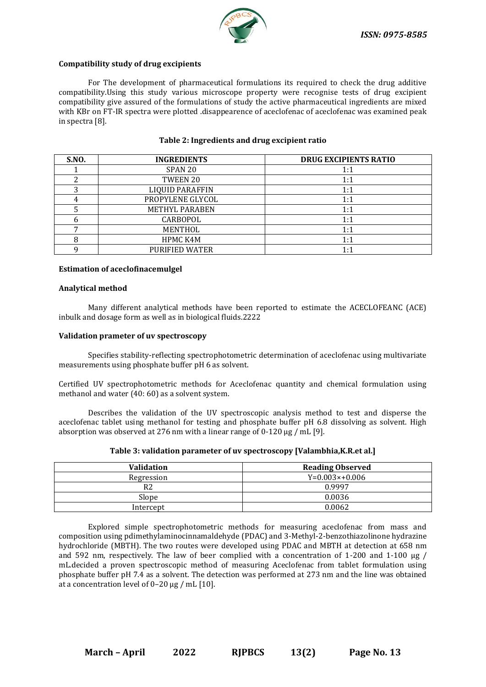

#### **Compatibility study of drug excipients**

For The development of pharmaceutical formulations its required to check the drug additive compatibility.Using this study various microscope property were recognise tests of drug excipient compatibility give assured of the formulations of study the active pharmaceutical ingredients are mixed with KBr on FT-IR spectra were plotted .disappearence of aceclofenac of aceclofenac was examined peak in spectra [8].

| <b>S.NO.</b> | <b>INGREDIENTS</b>     | <b>DRUG EXCIPIENTS RATIO</b> |
|--------------|------------------------|------------------------------|
|              | SPAN <sub>20</sub>     | 1:1                          |
|              | TWEEN 20               | 1:1                          |
|              | <b>LIQUID PARAFFIN</b> | 1:1                          |
|              | PROPYLENE GLYCOL       | 1:1                          |
|              | <b>METHYL PARABEN</b>  | 1:1                          |
|              | CARBOPOL               | 1:1                          |
|              | MENTHOL                | 1:1                          |
|              | HPMC K4M               | 1:1                          |
|              | <b>PURIFIED WATER</b>  | 1:1                          |

#### **Table 2: Ingredients and drug excipient ratio**

#### **Estimation of aceclofinacemulgel**

#### **Analytical method**

Many different analytical methods have been reported to estimate the ACECLOFEANC (ACE) inbulk and dosage form as well as in biological fluids.2222

#### **Validation prameter of uv spectroscopy**

Specifies stability-reflecting spectrophotometric determination of aceclofenac using multivariate measurements using phosphate buffer pH 6 as solvent.

Certified UV spectrophotometric methods for Aceclofenac quantity and chemical formulation using methanol and water (40: 60) as a solvent system.

Describes the validation of the UV spectroscopic analysis method to test and disperse the aceclofenac tablet using methanol for testing and phosphate buffer pH 6.8 dissolving as solvent. High absorption was observed at 276 nm with a linear range of  $0-120 \mu g$  / mL [9].

| <b>Validation</b> | <b>Reading Observed</b> |  |
|-------------------|-------------------------|--|
| Regression        | $Y=0.003\times+0.006$   |  |
| R2                | 0.9997                  |  |
| Slope             | 0.0036                  |  |
| Intercept         | 0.0062                  |  |

Explored simple spectrophotometric methods for measuring aceclofenac from mass and composition using pdimethylaminocinnamaldehyde (PDAC) and 3-Methyl-2-benzothiazolinone hydrazine hydrochloride (MBTH). The two routes were developed using PDAC and MBTH at detection at 658 nm and 592 nm, respectively. The law of beer complied with a concentration of 1-200 and 1-100 μg / mL.decided a proven spectroscopic method of measuring Aceclofenac from tablet formulation using phosphate buffer pH 7.4 as a solvent. The detection was performed at 273 nm and the line was obtained at a concentration level of 0–20 μg / mL [10].

**March – April 2022 RJPBCS 13(2) Page No. 13**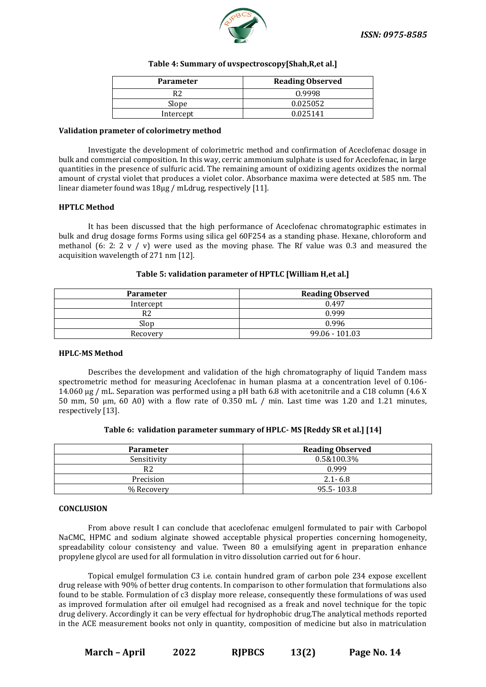

#### **Table 4: Summary of uvspectroscopy[Shah,R,et al.]**

| <b>Parameter</b> | <b>Reading Observed</b> |  |  |
|------------------|-------------------------|--|--|
|                  | 0.9998                  |  |  |
| Slope            | 0.025052                |  |  |
| Intercept        | 0.025141                |  |  |

#### **Validation prameter of colorimetry method**

Investigate the development of colorimetric method and confirmation of Aceclofenac dosage in bulk and commercial composition. In this way, cerric ammonium sulphate is used for Aceclofenac, in large quantities in the presence of sulfuric acid. The remaining amount of oxidizing agents oxidizes the normal amount of crystal violet that produces a violet color. Absorbance maxima were detected at 585 nm. The linear diameter found was 18μg / mLdrug, respectively [11].

#### **HPTLC Method**

It has been discussed that the high performance of Aceclofenac chromatographic estimates in bulk and drug dosage forms Forms using silica gel 60F254 as a standing phase. Hexane, chloroform and methanol (6: 2: 2  $\frac{v}{v}$ ) were used as the moving phase. The Rf value was 0.3 and measured the acquisition wavelength of 271 nm [12].

#### **Table 5: validation parameter of HPTLC [William H,et al.]**

| <b>Parameter</b> | <b>Reading Observed</b> |  |  |
|------------------|-------------------------|--|--|
| Intercept        | 0.497                   |  |  |
| R2               | 0.999                   |  |  |
| Slop             | 0.996                   |  |  |
| Recovery         | 99.06 - 101.03          |  |  |

#### **HPLC-MS Method**

Describes the development and validation of the high chromatography of liquid Tandem mass spectrometric method for measuring Aceclofenac in human plasma at a concentration level of 0.106- 14.060 μg / mL. Separation was performed using a pH bath 6.8 with acetonitrile and a C18 column (4.6 X 50 mm, 50 μm, 60 A0) with a flow rate of 0.350 mL / min. Last time was 1.20 and 1.21 minutes, respectively [13].

|  |  | Table 6: validation parameter summary of HPLC-MS [Reddy SR et al.] [14] |  |
|--|--|-------------------------------------------------------------------------|--|
|--|--|-------------------------------------------------------------------------|--|

| <b>Parameter</b> | <b>Reading Observed</b> |
|------------------|-------------------------|
| Sensitivity      | 0.5&100.3%              |
| R <sub>2</sub>   | 0.999                   |
| Precision        | $2.1 - 6.8$             |
| % Recovery       | 95.5-103.8              |

#### **CONCLUSION**

From above result I can conclude that aceclofenac emulgenl formulated to pair with Carbopol NaCMC, HPMC and sodium alginate showed acceptable physical properties concerning homogeneity, spreadability colour consistency and value. Tween 80 a emulsifying agent in preparation enhance propylene glycol are used for all formulation in vitro dissolution carried out for 6 hour.

Topical emulgel formulation C3 i.e. contain hundred gram of carbon pole 234 expose excellent drug release with 90% of better drug contents. In comparison to other formulation that formulations also found to be stable. Formulation of c3 display more release, consequently these formulations of was used as improved formulation after oil emulgel had recognised as a freak and novel technique for the topic drug delivery. Accordingly it can be very effectual for hydrophobic drug.The analytical methods reported in the ACE measurement books not only in quantity, composition of medicine but also in matriculation

**March – April 2022 RJPBCS 13(2) Page No. 14**